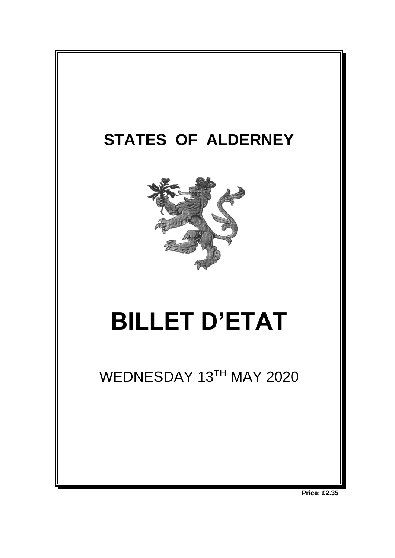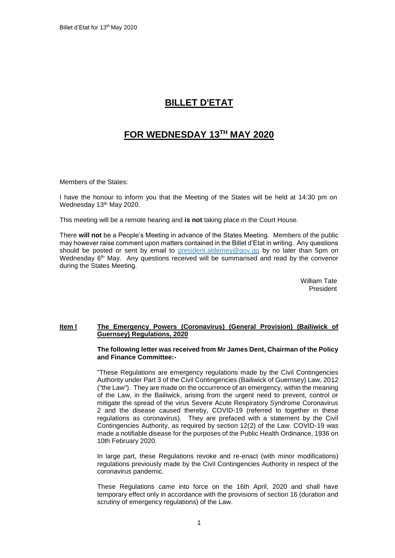# **BILLET D'ETAT**

# **FOR WEDNESDAY 13TH MAY 2020**

Members of the States:

I have the honour to inform you that the Meeting of the States will be held at 14:30 pm on Wednesday 13<sup>th</sup> May 2020.

This meeting will be a remote hearing and **is not** taking place in the Court House.

There **will not** be a People's Meeting in advance of the States Meeting. Members of the public may however raise comment upon matters contained in the Billet d'Etat in writing. Any questions should be posted or sent by email to [president.alderney@gov.gg](mailto:president.alderney@gov.gg) by no later than 5pm on Wednesday 6<sup>th</sup> May. Any questions received will be summarised and read by the convenor during the States Meeting.

> William Tate President

## **Item l The Emergency Powers (Coronavirus) (General Provision) (Bailiwick of Guernsey) Regulations, 2020**

**The following letter was received from Mr James Dent, Chairman of the Policy and Finance Committee:-**

"These Regulations are emergency regulations made by the Civil Contingencies Authority under Part 3 of the Civil Contingencies (Bailiwick of Guernsey) Law, 2012 ("the Law"). They are made on the occurrence of an emergency, within the meaning of the Law, in the Bailiwick, arising from the urgent need to prevent, control or mitigate the spread of the virus Severe Acute Respiratory Syndrome Coronavirus 2 and the disease caused thereby, COVID-19 (referred to together in these regulations as coronavirus). They are prefaced with a statement by the Civil Contingencies Authority, as required by section 12(2) of the Law. COVID-19 was made a notifiable disease for the purposes of the Public Health Ordinance, 1936 on 10th February 2020.

In large part, these Regulations revoke and re-enact (with minor modifications) regulations previously made by the Civil Contingencies Authority in respect of the coronavirus pandemic.

These Regulations came into force on the 16th April, 2020 and shall have temporary effect only in accordance with the provisions of section 16 (duration and scrutiny of emergency regulations) of the Law.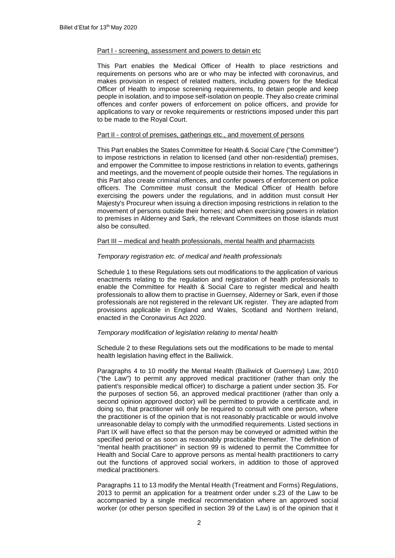#### Part I - screening, assessment and powers to detain etc

This Part enables the Medical Officer of Health to place restrictions and requirements on persons who are or who may be infected with coronavirus, and makes provision in respect of related matters, including powers for the Medical Officer of Health to impose screening requirements, to detain people and keep people in isolation, and to impose self-isolation on people. They also create criminal offences and confer powers of enforcement on police officers, and provide for applications to vary or revoke requirements or restrictions imposed under this part to be made to the Royal Court.

#### Part II - control of premises, gatherings etc., and movement of persons

This Part enables the States Committee for Health & Social Care ("the Committee") to impose restrictions in relation to licensed (and other non-residential) premises, and empower the Committee to impose restrictions in relation to events, gatherings and meetings, and the movement of people outside their homes. The regulations in this Part also create criminal offences, and confer powers of enforcement on police officers. The Committee must consult the Medical Officer of Health before exercising the powers under the regulations, and in addition must consult Her Majesty's Procureur when issuing a direction imposing restrictions in relation to the movement of persons outside their homes; and when exercising powers in relation to premises in Alderney and Sark, the relevant Committees on those islands must also be consulted.

#### Part III – medical and health professionals, mental health and pharmacists

## *Temporary registration etc. of medical and health professionals*

Schedule 1 to these Regulations sets out modifications to the application of various enactments relating to the regulation and registration of health professionals to enable the Committee for Health & Social Care to register medical and health professionals to allow them to practise in Guernsey, Alderney or Sark, even if those professionals are not registered in the relevant UK register. They are adapted from provisions applicable in England and Wales, Scotland and Northern Ireland, enacted in the Coronavirus Act 2020.

#### *Temporary modification of legislation relating to mental health*

Schedule 2 to these Regulations sets out the modifications to be made to mental health legislation having effect in the Bailiwick.

Paragraphs 4 to 10 modify the Mental Health (Bailiwick of Guernsey) Law, 2010 ("the Law") to permit any approved medical practitioner (rather than only the patient's responsible medical officer) to discharge a patient under section 35. For the purposes of section 56, an approved medical practitioner (rather than only a second opinion approved doctor) will be permitted to provide a certificate and, in doing so, that practitioner will only be required to consult with one person, where the practitioner is of the opinion that is not reasonably practicable or would involve unreasonable delay to comply with the unmodified requirements. Listed sections in Part IX will have effect so that the person may be conveyed or admitted within the specified period or as soon as reasonably practicable thereafter. The definition of "mental health practitioner" in section 99 is widened to permit the Committee for Health and Social Care to approve persons as mental health practitioners to carry out the functions of approved social workers, in addition to those of approved medical practitioners.

Paragraphs 11 to 13 modify the Mental Health (Treatment and Forms) Regulations, 2013 to permit an application for a treatment order under s.23 of the Law to be accompanied by a single medical recommendation where an approved social worker (or other person specified in section 39 of the Law) is of the opinion that it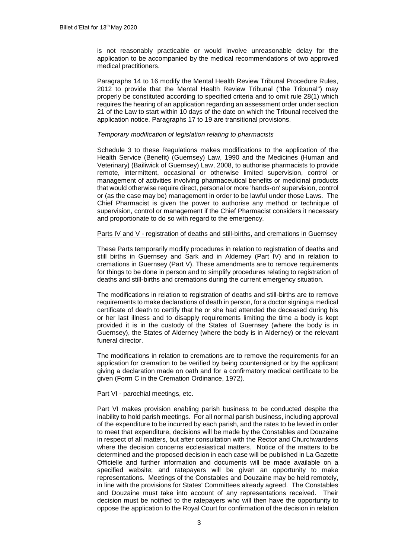is not reasonably practicable or would involve unreasonable delay for the application to be accompanied by the medical recommendations of two approved medical practitioners.

Paragraphs 14 to 16 modify the Mental Health Review Tribunal Procedure Rules, 2012 to provide that the Mental Health Review Tribunal ("the Tribunal") may properly be constituted according to specified criteria and to omit rule 28(1) which requires the hearing of an application regarding an assessment order under section 21 of the Law to start within 10 days of the date on which the Tribunal received the application notice. Paragraphs 17 to 19 are transitional provisions.

### *Temporary modification of legislation relating to pharmacists*

Schedule 3 to these Regulations makes modifications to the application of the Health Service (Benefit) (Guernsey) Law, 1990 and the Medicines (Human and Veterinary) (Bailiwick of Guernsey) Law, 2008, to authorise pharmacists to provide remote, intermittent, occasional or otherwise limited supervision, control or management of activities involving pharmaceutical benefits or medicinal products that would otherwise require direct, personal or more 'hands-on' supervision, control or (as the case may be) management in order to be lawful under those Laws. The Chief Pharmacist is given the power to authorise any method or technique of supervision, control or management if the Chief Pharmacist considers it necessary and proportionate to do so with regard to the emergency.

#### Parts IV and V - registration of deaths and still-births, and cremations in Guernsey

These Parts temporarily modify procedures in relation to registration of deaths and still births in Guernsey and Sark and in Alderney (Part IV) and in relation to cremations in Guernsey (Part V). These amendments are to remove requirements for things to be done in person and to simplify procedures relating to registration of deaths and still-births and cremations during the current emergency situation.

The modifications in relation to registration of deaths and still-births are to remove requirements to make declarations of death in person, for a doctor signing a medical certificate of death to certify that he or she had attended the deceased during his or her last illness and to disapply requirements limiting the time a body is kept provided it is in the custody of the States of Guernsey (where the body is in Guernsey), the States of Alderney (where the body is in Alderney) or the relevant funeral director.

The modifications in relation to cremations are to remove the requirements for an application for cremation to be verified by being countersigned or by the applicant giving a declaration made on oath and for a confirmatory medical certificate to be given (Form C in the Cremation Ordinance, 1972).

# Part VI - parochial meetings, etc.

Part VI makes provision enabling parish business to be conducted despite the inability to hold parish meetings. For all normal parish business, including approval of the expenditure to be incurred by each parish, and the rates to be levied in order to meet that expenditure, decisions will be made by the Constables and Douzaine in respect of all matters, but after consultation with the Rector and Churchwardens where the decision concerns ecclesiastical matters. Notice of the matters to be determined and the proposed decision in each case will be published in La Gazette Officielle and further information and documents will be made available on a specified website; and ratepayers will be given an opportunity to make representations. Meetings of the Constables and Douzaine may be held remotely, in line with the provisions for States' Committees already agreed. The Constables and Douzaine must take into account of any representations received. Their decision must be notified to the ratepayers who will then have the opportunity to oppose the application to the Royal Court for confirmation of the decision in relation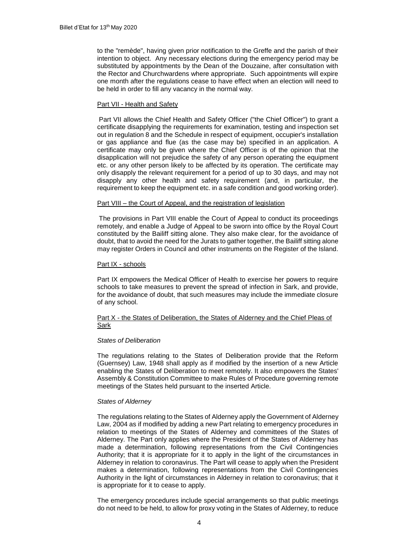to the "remède", having given prior notification to the Greffe and the parish of their intention to object. Any necessary elections during the emergency period may be substituted by appointments by the Dean of the Douzaine, after consultation with the Rector and Churchwardens where appropriate. Such appointments will expire one month after the regulations cease to have effect when an election will need to be held in order to fill any vacancy in the normal way.

### Part VII - Health and Safety

Part VII allows the Chief Health and Safety Officer ("the Chief Officer") to grant a certificate disapplying the requirements for examination, testing and inspection set out in regulation 8 and the Schedule in respect of equipment, occupier's installation or gas appliance and flue (as the case may be) specified in an application. A certificate may only be given where the Chief Officer is of the opinion that the disapplication will not prejudice the safety of any person operating the equipment etc. or any other person likely to be affected by its operation. The certificate may only disapply the relevant requirement for a period of up to 30 days, and may not disapply any other health and safety requirement (and, in particular, the requirement to keep the equipment etc. in a safe condition and good working order).

#### Part VIII – the Court of Appeal, and the registration of legislation

The provisions in Part VIII enable the Court of Appeal to conduct its proceedings remotely, and enable a Judge of Appeal to be sworn into office by the Royal Court constituted by the Bailiff sitting alone. They also make clear, for the avoidance of doubt, that to avoid the need for the Jurats to gather together, the Bailiff sitting alone may register Orders in Council and other instruments on the Register of the Island.

#### Part IX - schools

Part IX empowers the Medical Officer of Health to exercise her powers to require schools to take measures to prevent the spread of infection in Sark, and provide, for the avoidance of doubt, that such measures may include the immediate closure of any school.

#### Part X - the States of Deliberation, the States of Alderney and the Chief Pleas of Sark

#### *States of Deliberation*

The regulations relating to the States of Deliberation provide that the Reform (Guernsey) Law, 1948 shall apply as if modified by the insertion of a new Article enabling the States of Deliberation to meet remotely. It also empowers the States' Assembly & Constitution Committee to make Rules of Procedure governing remote meetings of the States held pursuant to the inserted Article.

#### *States of Alderney*

The regulations relating to the States of Alderney apply the Government of Alderney Law, 2004 as if modified by adding a new Part relating to emergency procedures in relation to meetings of the States of Alderney and committees of the States of Alderney. The Part only applies where the President of the States of Alderney has made a determination, following representations from the Civil Contingencies Authority; that it is appropriate for it to apply in the light of the circumstances in Alderney in relation to coronavirus. The Part will cease to apply when the President makes a determination, following representations from the Civil Contingencies Authority in the light of circumstances in Alderney in relation to coronavirus; that it is appropriate for it to cease to apply.

The emergency procedures include special arrangements so that public meetings do not need to be held, to allow for proxy voting in the States of Alderney, to reduce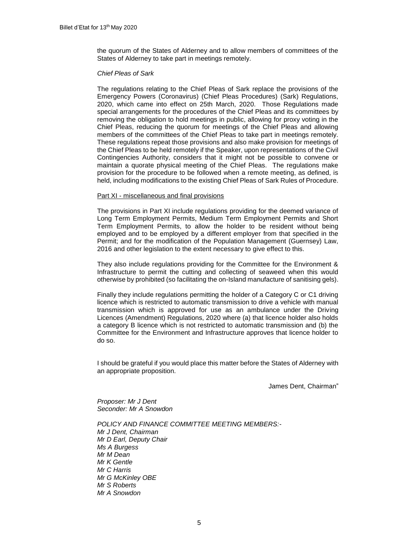the quorum of the States of Alderney and to allow members of committees of the States of Alderney to take part in meetings remotely.

#### *Chief Pleas of Sark*

The regulations relating to the Chief Pleas of Sark replace the provisions of the Emergency Powers (Coronavirus) (Chief Pleas Procedures) (Sark) Regulations, 2020, which came into effect on 25th March, 2020. Those Regulations made special arrangements for the procedures of the Chief Pleas and its committees by removing the obligation to hold meetings in public, allowing for proxy voting in the Chief Pleas, reducing the quorum for meetings of the Chief Pleas and allowing members of the committees of the Chief Pleas to take part in meetings remotely. These regulations repeat those provisions and also make provision for meetings of the Chief Pleas to be held remotely if the Speaker, upon representations of the Civil Contingencies Authority, considers that it might not be possible to convene or maintain a quorate physical meeting of the Chief Pleas. The regulations make provision for the procedure to be followed when a remote meeting, as defined, is held, including modifications to the existing Chief Pleas of Sark Rules of Procedure.

#### Part XI - miscellaneous and final provisions

The provisions in Part XI include regulations providing for the deemed variance of Long Term Employment Permits, Medium Term Employment Permits and Short Term Employment Permits, to allow the holder to be resident without being employed and to be employed by a different employer from that specified in the Permit; and for the modification of the Population Management (Guernsey) Law, 2016 and other legislation to the extent necessary to give effect to this.

They also include regulations providing for the Committee for the Environment & Infrastructure to permit the cutting and collecting of seaweed when this would otherwise by prohibited (so facilitating the on-Island manufacture of sanitising gels).

Finally they include regulations permitting the holder of a Category C or C1 driving licence which is restricted to automatic transmission to drive a vehicle with manual transmission which is approved for use as an ambulance under the Driving Licences (Amendment) Regulations, 2020 where (a) that licence holder also holds a category B licence which is not restricted to automatic transmission and (b) the Committee for the Environment and Infrastructure approves that licence holder to do so.

I should be grateful if you would place this matter before the States of Alderney with an appropriate proposition.

James Dent, Chairman"

*Proposer: Mr J Dent Seconder: Mr A Snowdon*

*POLICY AND FINANCE COMMITTEE MEETING MEMBERS:- Mr J Dent, Chairman Mr D Earl, Deputy Chair Ms A Burgess Mr M Dean Mr K Gentle Mr C Harris Mr G McKinley OBE Mr S Roberts Mr A Snowdon*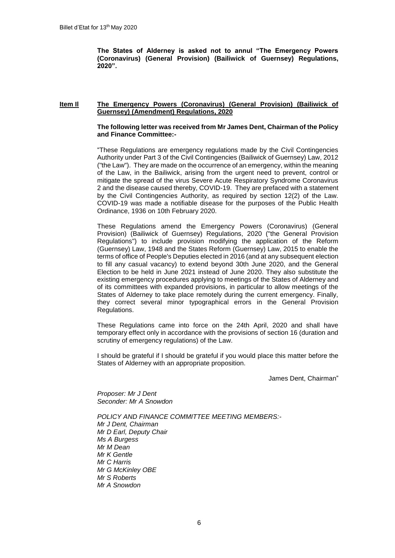**The States of Alderney is asked not to annul "The Emergency Powers (Coronavirus) (General Provision) (Bailiwick of Guernsey) Regulations, 2020".**

#### **Item Il The Emergency Powers (Coronavirus) (General Provision) (Bailiwick of Guernsey) (Amendment) Regulations, 2020**

#### **The following letter was received from Mr James Dent, Chairman of the Policy and Finance Committee:-**

"These Regulations are emergency regulations made by the Civil Contingencies Authority under Part 3 of the Civil Contingencies (Bailiwick of Guernsey) Law, 2012 ("the Law"). They are made on the occurrence of an emergency, within the meaning of the Law, in the Bailiwick, arising from the urgent need to prevent, control or mitigate the spread of the virus Severe Acute Respiratory Syndrome Coronavirus 2 and the disease caused thereby, COVID-19. They are prefaced with a statement by the Civil Contingencies Authority, as required by section 12(2) of the Law. COVID-19 was made a notifiable disease for the purposes of the Public Health Ordinance, 1936 on 10th February 2020.

These Regulations amend the Emergency Powers (Coronavirus) (General Provision) (Bailiwick of Guernsey) Regulations, 2020 ("the General Provision Regulations") to include provision modifying the application of the Reform (Guernsey) Law, 1948 and the States Reform (Guernsey) Law, 2015 to enable the terms of office of People's Deputies elected in 2016 (and at any subsequent election to fill any casual vacancy) to extend beyond 30th June 2020, and the General Election to be held in June 2021 instead of June 2020. They also substitute the existing emergency procedures applying to meetings of the States of Alderney and of its committees with expanded provisions, in particular to allow meetings of the States of Alderney to take place remotely during the current emergency. Finally, they correct several minor typographical errors in the General Provision Regulations.

These Regulations came into force on the 24th April, 2020 and shall have temporary effect only in accordance with the provisions of section 16 (duration and scrutiny of emergency regulations) of the Law.

I should be grateful if I should be grateful if you would place this matter before the States of Alderney with an appropriate proposition.

James Dent, Chairman"

*Proposer: Mr J Dent Seconder: Mr A Snowdon*

*POLICY AND FINANCE COMMITTEE MEETING MEMBERS:- Mr J Dent, Chairman Mr D Earl, Deputy Chair Ms A Burgess Mr M Dean Mr K Gentle Mr C Harris Mr G McKinley OBE Mr S Roberts Mr A Snowdon*